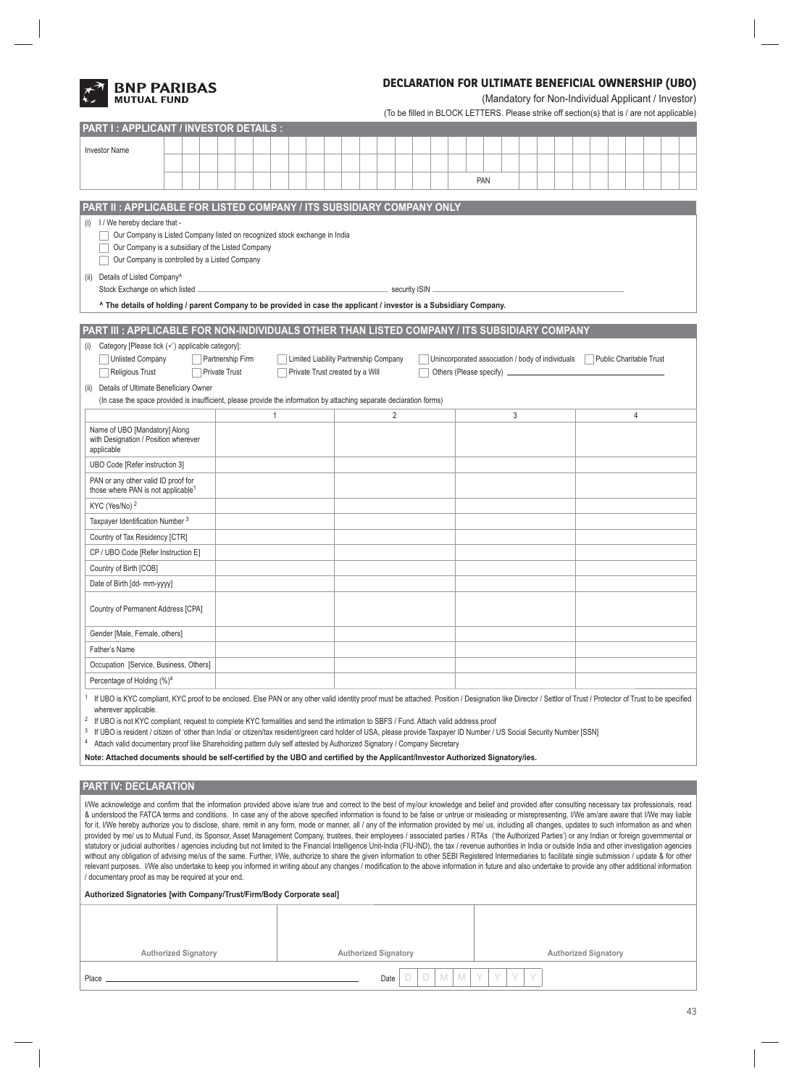

**PART I : APPLICANT / INVESTOR DETAILS :**

# **DECLARATION FOR ULTIMATE BENEFICIAL OWNERSHIP (UBO)**

(Mandatory for Non-Individual Applicant / Investor)

| (To be filled in BLOCK LETTERS. Please strike off section(s) that is / are not applicable) |  |  |  |
|--------------------------------------------------------------------------------------------|--|--|--|
|                                                                                            |  |  |  |

| <b>Investor Name</b>                                                                                                                                                                                                                                                                                                                                                                                                                                                                                                                                                                                                                                                                                                                                                                                                                                                                                                                                                                                                                                                                                                                                                                                                                                                                                                                                                                                                                                                                                                                   |                                                                                                                                                                                                                                                                                                                                                                                                                                                                                                                                                                                                                                                                                                                                                                                                                                   |  |  |                      |  |  |   |                                                                                                                             |                                 |  |  |                |                 |  |  |            |  |   |  |  |  |   |  |  |
|----------------------------------------------------------------------------------------------------------------------------------------------------------------------------------------------------------------------------------------------------------------------------------------------------------------------------------------------------------------------------------------------------------------------------------------------------------------------------------------------------------------------------------------------------------------------------------------------------------------------------------------------------------------------------------------------------------------------------------------------------------------------------------------------------------------------------------------------------------------------------------------------------------------------------------------------------------------------------------------------------------------------------------------------------------------------------------------------------------------------------------------------------------------------------------------------------------------------------------------------------------------------------------------------------------------------------------------------------------------------------------------------------------------------------------------------------------------------------------------------------------------------------------------|-----------------------------------------------------------------------------------------------------------------------------------------------------------------------------------------------------------------------------------------------------------------------------------------------------------------------------------------------------------------------------------------------------------------------------------------------------------------------------------------------------------------------------------------------------------------------------------------------------------------------------------------------------------------------------------------------------------------------------------------------------------------------------------------------------------------------------------|--|--|----------------------|--|--|---|-----------------------------------------------------------------------------------------------------------------------------|---------------------------------|--|--|----------------|-----------------|--|--|------------|--|---|--|--|--|---|--|--|
|                                                                                                                                                                                                                                                                                                                                                                                                                                                                                                                                                                                                                                                                                                                                                                                                                                                                                                                                                                                                                                                                                                                                                                                                                                                                                                                                                                                                                                                                                                                                        |                                                                                                                                                                                                                                                                                                                                                                                                                                                                                                                                                                                                                                                                                                                                                                                                                                   |  |  |                      |  |  |   |                                                                                                                             |                                 |  |  |                |                 |  |  |            |  |   |  |  |  |   |  |  |
|                                                                                                                                                                                                                                                                                                                                                                                                                                                                                                                                                                                                                                                                                                                                                                                                                                                                                                                                                                                                                                                                                                                                                                                                                                                                                                                                                                                                                                                                                                                                        |                                                                                                                                                                                                                                                                                                                                                                                                                                                                                                                                                                                                                                                                                                                                                                                                                                   |  |  |                      |  |  |   |                                                                                                                             |                                 |  |  |                |                 |  |  | <b>PAN</b> |  |   |  |  |  |   |  |  |
|                                                                                                                                                                                                                                                                                                                                                                                                                                                                                                                                                                                                                                                                                                                                                                                                                                                                                                                                                                                                                                                                                                                                                                                                                                                                                                                                                                                                                                                                                                                                        | PART II: APPLICABLE FOR LISTED COMPANY / ITS SUBSIDIARY COMPANY ONLY                                                                                                                                                                                                                                                                                                                                                                                                                                                                                                                                                                                                                                                                                                                                                              |  |  |                      |  |  |   |                                                                                                                             |                                 |  |  |                |                 |  |  |            |  |   |  |  |  |   |  |  |
|                                                                                                                                                                                                                                                                                                                                                                                                                                                                                                                                                                                                                                                                                                                                                                                                                                                                                                                                                                                                                                                                                                                                                                                                                                                                                                                                                                                                                                                                                                                                        | (i) I / We hereby declare that -<br>Our Company is Listed Company listed on recognized stock exchange in India<br>Our Company is a subsidiary of the Listed Company<br>Our Company is controlled by a Listed Company<br>(ii) Details of Listed Company^                                                                                                                                                                                                                                                                                                                                                                                                                                                                                                                                                                           |  |  |                      |  |  |   |                                                                                                                             |                                 |  |  |                |                 |  |  |            |  |   |  |  |  |   |  |  |
|                                                                                                                                                                                                                                                                                                                                                                                                                                                                                                                                                                                                                                                                                                                                                                                                                                                                                                                                                                                                                                                                                                                                                                                                                                                                                                                                                                                                                                                                                                                                        | Stock Exchange on which listed<br>The details of holding / parent Company to be provided in case the applicant / investor is a Subsidiary Company.                                                                                                                                                                                                                                                                                                                                                                                                                                                                                                                                                                                                                                                                                |  |  |                      |  |  |   |                                                                                                                             |                                 |  |  |                | security ISIN _ |  |  |            |  |   |  |  |  |   |  |  |
|                                                                                                                                                                                                                                                                                                                                                                                                                                                                                                                                                                                                                                                                                                                                                                                                                                                                                                                                                                                                                                                                                                                                                                                                                                                                                                                                                                                                                                                                                                                                        |                                                                                                                                                                                                                                                                                                                                                                                                                                                                                                                                                                                                                                                                                                                                                                                                                                   |  |  |                      |  |  |   |                                                                                                                             |                                 |  |  |                |                 |  |  |            |  |   |  |  |  |   |  |  |
|                                                                                                                                                                                                                                                                                                                                                                                                                                                                                                                                                                                                                                                                                                                                                                                                                                                                                                                                                                                                                                                                                                                                                                                                                                                                                                                                                                                                                                                                                                                                        | PART III : APPLICABLE FOR NON-INDIVIDUALS OTHER THAN LISTED COMPANY / ITS SUBSIDIARY COMPANY<br>Category [Please tick $(\checkmark)$ applicable category]:                                                                                                                                                                                                                                                                                                                                                                                                                                                                                                                                                                                                                                                                        |  |  |                      |  |  |   |                                                                                                                             |                                 |  |  |                |                 |  |  |            |  |   |  |  |  |   |  |  |
| (i)                                                                                                                                                                                                                                                                                                                                                                                                                                                                                                                                                                                                                                                                                                                                                                                                                                                                                                                                                                                                                                                                                                                                                                                                                                                                                                                                                                                                                                                                                                                                    | Unlisted Company                                                                                                                                                                                                                                                                                                                                                                                                                                                                                                                                                                                                                                                                                                                                                                                                                  |  |  | Partnership Firm     |  |  |   | Limited Liability Partnership Company<br>Unincorporated association / body of individuals<br><b>Public Charitable Trust</b> |                                 |  |  |                |                 |  |  |            |  |   |  |  |  |   |  |  |
|                                                                                                                                                                                                                                                                                                                                                                                                                                                                                                                                                                                                                                                                                                                                                                                                                                                                                                                                                                                                                                                                                                                                                                                                                                                                                                                                                                                                                                                                                                                                        | <b>Religious Trust</b>                                                                                                                                                                                                                                                                                                                                                                                                                                                                                                                                                                                                                                                                                                                                                                                                            |  |  | <b>Private Trust</b> |  |  |   |                                                                                                                             | Private Trust created by a Will |  |  |                |                 |  |  |            |  |   |  |  |  |   |  |  |
|                                                                                                                                                                                                                                                                                                                                                                                                                                                                                                                                                                                                                                                                                                                                                                                                                                                                                                                                                                                                                                                                                                                                                                                                                                                                                                                                                                                                                                                                                                                                        | (ii) Details of Ultimate Beneficiary Owner                                                                                                                                                                                                                                                                                                                                                                                                                                                                                                                                                                                                                                                                                                                                                                                        |  |  |                      |  |  |   |                                                                                                                             |                                 |  |  |                |                 |  |  |            |  |   |  |  |  |   |  |  |
|                                                                                                                                                                                                                                                                                                                                                                                                                                                                                                                                                                                                                                                                                                                                                                                                                                                                                                                                                                                                                                                                                                                                                                                                                                                                                                                                                                                                                                                                                                                                        | (In case the space provided is insufficient, please provide the information by attaching separate declaration forms)                                                                                                                                                                                                                                                                                                                                                                                                                                                                                                                                                                                                                                                                                                              |  |  |                      |  |  | 1 |                                                                                                                             |                                 |  |  | $\overline{2}$ |                 |  |  |            |  | 3 |  |  |  | 4 |  |  |
|                                                                                                                                                                                                                                                                                                                                                                                                                                                                                                                                                                                                                                                                                                                                                                                                                                                                                                                                                                                                                                                                                                                                                                                                                                                                                                                                                                                                                                                                                                                                        | Name of UBO [Mandatory] Along<br>with Designation / Position wherever<br>applicable                                                                                                                                                                                                                                                                                                                                                                                                                                                                                                                                                                                                                                                                                                                                               |  |  |                      |  |  |   |                                                                                                                             |                                 |  |  |                |                 |  |  |            |  |   |  |  |  |   |  |  |
|                                                                                                                                                                                                                                                                                                                                                                                                                                                                                                                                                                                                                                                                                                                                                                                                                                                                                                                                                                                                                                                                                                                                                                                                                                                                                                                                                                                                                                                                                                                                        | UBO Code [Refer instruction 3]                                                                                                                                                                                                                                                                                                                                                                                                                                                                                                                                                                                                                                                                                                                                                                                                    |  |  |                      |  |  |   |                                                                                                                             |                                 |  |  |                |                 |  |  |            |  |   |  |  |  |   |  |  |
|                                                                                                                                                                                                                                                                                                                                                                                                                                                                                                                                                                                                                                                                                                                                                                                                                                                                                                                                                                                                                                                                                                                                                                                                                                                                                                                                                                                                                                                                                                                                        | PAN or any other valid ID proof for<br>those where PAN is not applicable <sup>1</sup>                                                                                                                                                                                                                                                                                                                                                                                                                                                                                                                                                                                                                                                                                                                                             |  |  |                      |  |  |   |                                                                                                                             |                                 |  |  |                |                 |  |  |            |  |   |  |  |  |   |  |  |
|                                                                                                                                                                                                                                                                                                                                                                                                                                                                                                                                                                                                                                                                                                                                                                                                                                                                                                                                                                                                                                                                                                                                                                                                                                                                                                                                                                                                                                                                                                                                        | KYC (Yes/No) <sup>2</sup>                                                                                                                                                                                                                                                                                                                                                                                                                                                                                                                                                                                                                                                                                                                                                                                                         |  |  |                      |  |  |   |                                                                                                                             |                                 |  |  |                |                 |  |  |            |  |   |  |  |  |   |  |  |
|                                                                                                                                                                                                                                                                                                                                                                                                                                                                                                                                                                                                                                                                                                                                                                                                                                                                                                                                                                                                                                                                                                                                                                                                                                                                                                                                                                                                                                                                                                                                        | Taxpayer Identification Number <sup>3</sup>                                                                                                                                                                                                                                                                                                                                                                                                                                                                                                                                                                                                                                                                                                                                                                                       |  |  |                      |  |  |   |                                                                                                                             |                                 |  |  |                |                 |  |  |            |  |   |  |  |  |   |  |  |
|                                                                                                                                                                                                                                                                                                                                                                                                                                                                                                                                                                                                                                                                                                                                                                                                                                                                                                                                                                                                                                                                                                                                                                                                                                                                                                                                                                                                                                                                                                                                        | Country of Tax Residency [CTR]                                                                                                                                                                                                                                                                                                                                                                                                                                                                                                                                                                                                                                                                                                                                                                                                    |  |  |                      |  |  |   |                                                                                                                             |                                 |  |  |                |                 |  |  |            |  |   |  |  |  |   |  |  |
| CP / UBO Code [Refer Instruction E]                                                                                                                                                                                                                                                                                                                                                                                                                                                                                                                                                                                                                                                                                                                                                                                                                                                                                                                                                                                                                                                                                                                                                                                                                                                                                                                                                                                                                                                                                                    |                                                                                                                                                                                                                                                                                                                                                                                                                                                                                                                                                                                                                                                                                                                                                                                                                                   |  |  |                      |  |  |   |                                                                                                                             |                                 |  |  |                |                 |  |  |            |  |   |  |  |  |   |  |  |
|                                                                                                                                                                                                                                                                                                                                                                                                                                                                                                                                                                                                                                                                                                                                                                                                                                                                                                                                                                                                                                                                                                                                                                                                                                                                                                                                                                                                                                                                                                                                        | Country of Birth [COB]                                                                                                                                                                                                                                                                                                                                                                                                                                                                                                                                                                                                                                                                                                                                                                                                            |  |  |                      |  |  |   |                                                                                                                             |                                 |  |  |                |                 |  |  |            |  |   |  |  |  |   |  |  |
|                                                                                                                                                                                                                                                                                                                                                                                                                                                                                                                                                                                                                                                                                                                                                                                                                                                                                                                                                                                                                                                                                                                                                                                                                                                                                                                                                                                                                                                                                                                                        | Date of Birth [dd- mm-yyyy]                                                                                                                                                                                                                                                                                                                                                                                                                                                                                                                                                                                                                                                                                                                                                                                                       |  |  |                      |  |  |   |                                                                                                                             |                                 |  |  |                |                 |  |  |            |  |   |  |  |  |   |  |  |
|                                                                                                                                                                                                                                                                                                                                                                                                                                                                                                                                                                                                                                                                                                                                                                                                                                                                                                                                                                                                                                                                                                                                                                                                                                                                                                                                                                                                                                                                                                                                        | Country of Permanent Address [CPA]                                                                                                                                                                                                                                                                                                                                                                                                                                                                                                                                                                                                                                                                                                                                                                                                |  |  |                      |  |  |   |                                                                                                                             |                                 |  |  |                |                 |  |  |            |  |   |  |  |  |   |  |  |
|                                                                                                                                                                                                                                                                                                                                                                                                                                                                                                                                                                                                                                                                                                                                                                                                                                                                                                                                                                                                                                                                                                                                                                                                                                                                                                                                                                                                                                                                                                                                        | Gender [Male, Female, others]                                                                                                                                                                                                                                                                                                                                                                                                                                                                                                                                                                                                                                                                                                                                                                                                     |  |  |                      |  |  |   |                                                                                                                             |                                 |  |  |                |                 |  |  |            |  |   |  |  |  |   |  |  |
|                                                                                                                                                                                                                                                                                                                                                                                                                                                                                                                                                                                                                                                                                                                                                                                                                                                                                                                                                                                                                                                                                                                                                                                                                                                                                                                                                                                                                                                                                                                                        | Father's Name                                                                                                                                                                                                                                                                                                                                                                                                                                                                                                                                                                                                                                                                                                                                                                                                                     |  |  |                      |  |  |   |                                                                                                                             |                                 |  |  |                |                 |  |  |            |  |   |  |  |  |   |  |  |
| Occupation [Service, Business, Others]                                                                                                                                                                                                                                                                                                                                                                                                                                                                                                                                                                                                                                                                                                                                                                                                                                                                                                                                                                                                                                                                                                                                                                                                                                                                                                                                                                                                                                                                                                 |                                                                                                                                                                                                                                                                                                                                                                                                                                                                                                                                                                                                                                                                                                                                                                                                                                   |  |  |                      |  |  |   |                                                                                                                             |                                 |  |  |                |                 |  |  |            |  |   |  |  |  |   |  |  |
| Percentage of Holding (%) <sup>4</sup>                                                                                                                                                                                                                                                                                                                                                                                                                                                                                                                                                                                                                                                                                                                                                                                                                                                                                                                                                                                                                                                                                                                                                                                                                                                                                                                                                                                                                                                                                                 |                                                                                                                                                                                                                                                                                                                                                                                                                                                                                                                                                                                                                                                                                                                                                                                                                                   |  |  |                      |  |  |   |                                                                                                                             |                                 |  |  |                |                 |  |  |            |  |   |  |  |  |   |  |  |
| 3<br>4                                                                                                                                                                                                                                                                                                                                                                                                                                                                                                                                                                                                                                                                                                                                                                                                                                                                                                                                                                                                                                                                                                                                                                                                                                                                                                                                                                                                                                                                                                                                 | If UBO is KYC compliant, KYC proof to be enclosed. Else PAN or any other valid identity proof must be attached. Position / Designation like Director / Settlor of Trust / Protector of Trust to be specified<br>wherever applicable.<br><sup>2</sup> If UBO is not KYC compliant, request to complete KYC formalities and send the intimation to SBFS / Fund. Attach valid address proof<br>If UBO is resident / citizen of 'other than India' or citizen/tax resident/green card holder of USA, please provide Taxpayer ID Number / US Social Security Number [SSN]<br>Attach valid documentary proof like Shareholding pattern duly self attested by Authorized Signatory / Company Secretary<br>Note: Attached documents should be self-certified by the UBO and certified by the Applicant/Investor Authorized Signatory/ies. |  |  |                      |  |  |   |                                                                                                                             |                                 |  |  |                |                 |  |  |            |  |   |  |  |  |   |  |  |
|                                                                                                                                                                                                                                                                                                                                                                                                                                                                                                                                                                                                                                                                                                                                                                                                                                                                                                                                                                                                                                                                                                                                                                                                                                                                                                                                                                                                                                                                                                                                        | PART IV: DECLARATION                                                                                                                                                                                                                                                                                                                                                                                                                                                                                                                                                                                                                                                                                                                                                                                                              |  |  |                      |  |  |   |                                                                                                                             |                                 |  |  |                |                 |  |  |            |  |   |  |  |  |   |  |  |
| I/We acknowledge and confirm that the information provided above is/are true and correct to the best of my/our knowledge and belief and provided after consulting necessary tax professionals, read<br>& understood the FATCA terms and conditions. In case any of the above specified information is found to be false or untrue or misleading or misrepresenting, I/We am/are aware that I/We may liable<br>for it. I/We hereby authorize you to disclose, share, remit in any form, mode or manner, all / any of the information provided by me/ us, including all changes, updates to such information as and when<br>provided by me/ us to Mutual Fund, its Sponsor, Asset Management Company, trustees, their employees / associated parties / RTAs ('the Authorized Parties') or any Indian or foreign governmental or<br>statutory or judicial authorities / agencies including but not limited to the Financial Intelligence Unit-India (FIU-IND), the tax / revenue authorities in India or outside India and other investigation agencies<br>without any obligation of advising me/us of the same. Further, I/We, authorize to share the given information to other SEBI Registered Intermediaries to facilitate single submission / update & for other<br>relevant purposes. I/We also undertake to keep you informed in writing about any changes / modification to the above information in future and also undertake to provide any other additional information<br>/ documentary proof as may be required at your end. |                                                                                                                                                                                                                                                                                                                                                                                                                                                                                                                                                                                                                                                                                                                                                                                                                                   |  |  |                      |  |  |   |                                                                                                                             |                                 |  |  |                |                 |  |  |            |  |   |  |  |  |   |  |  |
|                                                                                                                                                                                                                                                                                                                                                                                                                                                                                                                                                                                                                                                                                                                                                                                                                                                                                                                                                                                                                                                                                                                                                                                                                                                                                                                                                                                                                                                                                                                                        | Authorized Signatories [with Company/Trust/Firm/Body Corporate seal]                                                                                                                                                                                                                                                                                                                                                                                                                                                                                                                                                                                                                                                                                                                                                              |  |  |                      |  |  |   |                                                                                                                             |                                 |  |  |                |                 |  |  |            |  |   |  |  |  |   |  |  |
|                                                                                                                                                                                                                                                                                                                                                                                                                                                                                                                                                                                                                                                                                                                                                                                                                                                                                                                                                                                                                                                                                                                                                                                                                                                                                                                                                                                                                                                                                                                                        |                                                                                                                                                                                                                                                                                                                                                                                                                                                                                                                                                                                                                                                                                                                                                                                                                                   |  |  |                      |  |  |   |                                                                                                                             |                                 |  |  |                |                 |  |  |            |  |   |  |  |  |   |  |  |
|                                                                                                                                                                                                                                                                                                                                                                                                                                                                                                                                                                                                                                                                                                                                                                                                                                                                                                                                                                                                                                                                                                                                                                                                                                                                                                                                                                                                                                                                                                                                        | <b>Authorized Signatory</b>                                                                                                                                                                                                                                                                                                                                                                                                                                                                                                                                                                                                                                                                                                                                                                                                       |  |  |                      |  |  |   | <b>Authorized Signatory</b><br><b>Authorized Signatory</b>                                                                  |                                 |  |  |                |                 |  |  |            |  |   |  |  |  |   |  |  |
| D<br>M<br>M<br>D<br>Place<br>Date                                                                                                                                                                                                                                                                                                                                                                                                                                                                                                                                                                                                                                                                                                                                                                                                                                                                                                                                                                                                                                                                                                                                                                                                                                                                                                                                                                                                                                                                                                      |                                                                                                                                                                                                                                                                                                                                                                                                                                                                                                                                                                                                                                                                                                                                                                                                                                   |  |  |                      |  |  |   |                                                                                                                             |                                 |  |  |                |                 |  |  |            |  |   |  |  |  |   |  |  |
|                                                                                                                                                                                                                                                                                                                                                                                                                                                                                                                                                                                                                                                                                                                                                                                                                                                                                                                                                                                                                                                                                                                                                                                                                                                                                                                                                                                                                                                                                                                                        |                                                                                                                                                                                                                                                                                                                                                                                                                                                                                                                                                                                                                                                                                                                                                                                                                                   |  |  |                      |  |  |   |                                                                                                                             |                                 |  |  |                |                 |  |  |            |  |   |  |  |  |   |  |  |